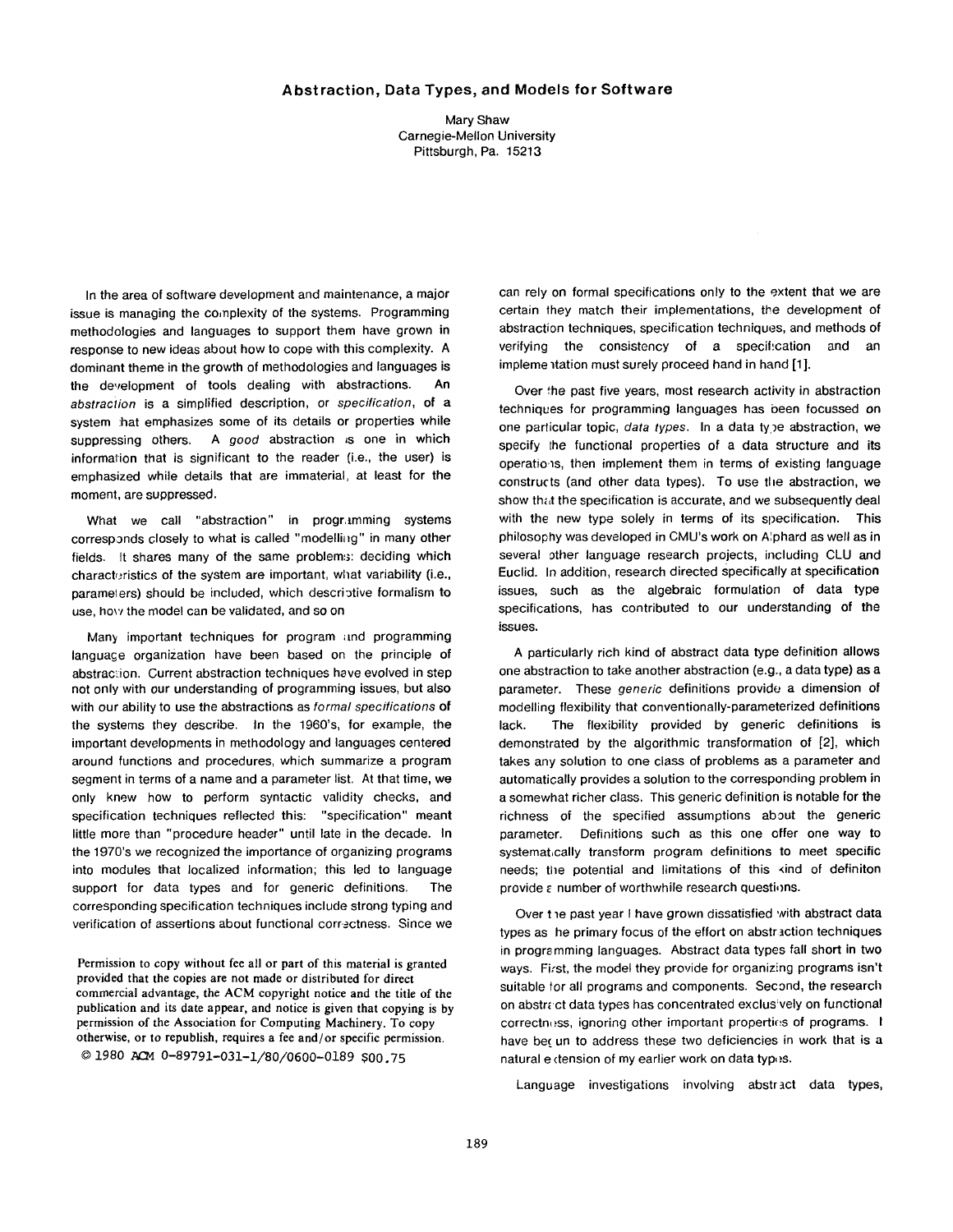## **Abstraction, Data Types, and Models for Software**

Mary Shaw Carnegie-Mellon University Pittsburgh, Pa. 15213

In the area of software development and maintenance, a major issue is managing the complexity of the systems. Programming methodologies and languages to support them have grown in response to new ideas about how to cope with this complexity. A dominant theme in the growth of methodologies and languages is the development of tools dealing with abstractions. An *abstraction* is a simplified description, or *specification,* of a system :hat emphasizes some of its details or properties while suppressing others. A good abstraction is one in which information that is significant to the reader (i.e., the user) is emphasized while details that are immaterial, at least for the moment, are suppressed.

What we call "abstraction" in programming systems corresponds closely to what is called "modelling" in many other fields. It shares many of the same problems: deciding which characteristics of the system are important, what variability (i.e., paramelers) should be included, which descriotive formalism to use, how the model can be validated, and so on

Many important techniques for program and programming language organization have been based on the principle of abstraction. Current abstraction techniques have evolved in step not only with our understanding of programming issues, but also with our ability to use the abstractions as *formal specifications* of the systems they describe. In the 1960's, for example, the important developments in methodology and languages centered around functions and procedures, which summarize a program segment in terms of a name and a parameter list. At that time, we only knew how to perform syntactic validity checks, and specification techniques reflected this: "specification" meant little more than "procedure header" until late in the decade. In the 1970's we recognized the importance of organizing programs into modules that localized information; this led to language support for data types and for generic definitions. The corresponding specification techniques include strong typing and verification of assertions about functional correctness. Since we

Permission to copy without fee all or part of this material is granted provided that the copies are not made or distributed for direct commercial advantage, the ACM copyright notice and the title of the publication and its date appear, and notice is given that copying is by permission of the Association for Computing Machinery. To copy otherwise, or to republish, requires a fee and/or specific permission.  $© 1980$  ACM  $0 - 89791 - 031 - 1/80/0600 - 0189$  S00.75

can rely on formal specifications only to the extent that we are certain they match their implementations, the development of abstraction techniques, specification techniques, and methods of verifying the consistency of a specit:cation and an impleme itation must surely proceed hand in hand [1].

Over the past five years, most research activity in abstraction techniques for programming languages has been focussed on one particular topic, *data types*. In a data type abstraction, we specify the functional properties of a data structure and its operations, then implement them in terms of existing language constructs (and other data types). To use tile abstraction, we show that the specification is accurate, and we subsequently deal with the new type solely in terms of its specification. This philosophy was developed in CMU's work on Alphard as well as in several other language research projects, including CLU and Euclid. In addition, research directed Specifically at specification issues, such as the algebraic formulation of data type specifications, has contributed to our understanding of the issues.

A particularly rich kind of abstract data type definition allows one abstraction to take another abstraction (e.g., a data type) as a parameter. These *generic* definitions provide a dimension of modelling flexibility that conventionally-parameterized definitions lack. The flexibility provided by generic definitions is demonstrated by the algorithmic transformation of [2], which takes any solution to one class of problems as a parameter and automatically provides a solution to the corresponding problem in a somewhat richer class. This generic definition is notable for the richness of the specified assumptions about the generic parameter. Definitions such as this one offer one way to systemat,cally transform program definitions to meet specific needs; the potential and limitations of this <ind of definiton provide  $\varepsilon$  number of worthwhile research questions.

Over the past year I have grown dissatisfied with abstract data types as he primary focus of the effort on abstraction techniques in programming languages. Abstract data types fall short in two ways. First, the model they provide for organizing programs isn't suitable for all programs and components. Second, the research on abstract data types has concentrated exclusively on functional correctness, ignoring other important properties of programs. I have bet un to address these two deficiencies in work that is a natural e dension of my earlier work on data types.

Language investigations involving abstract data types,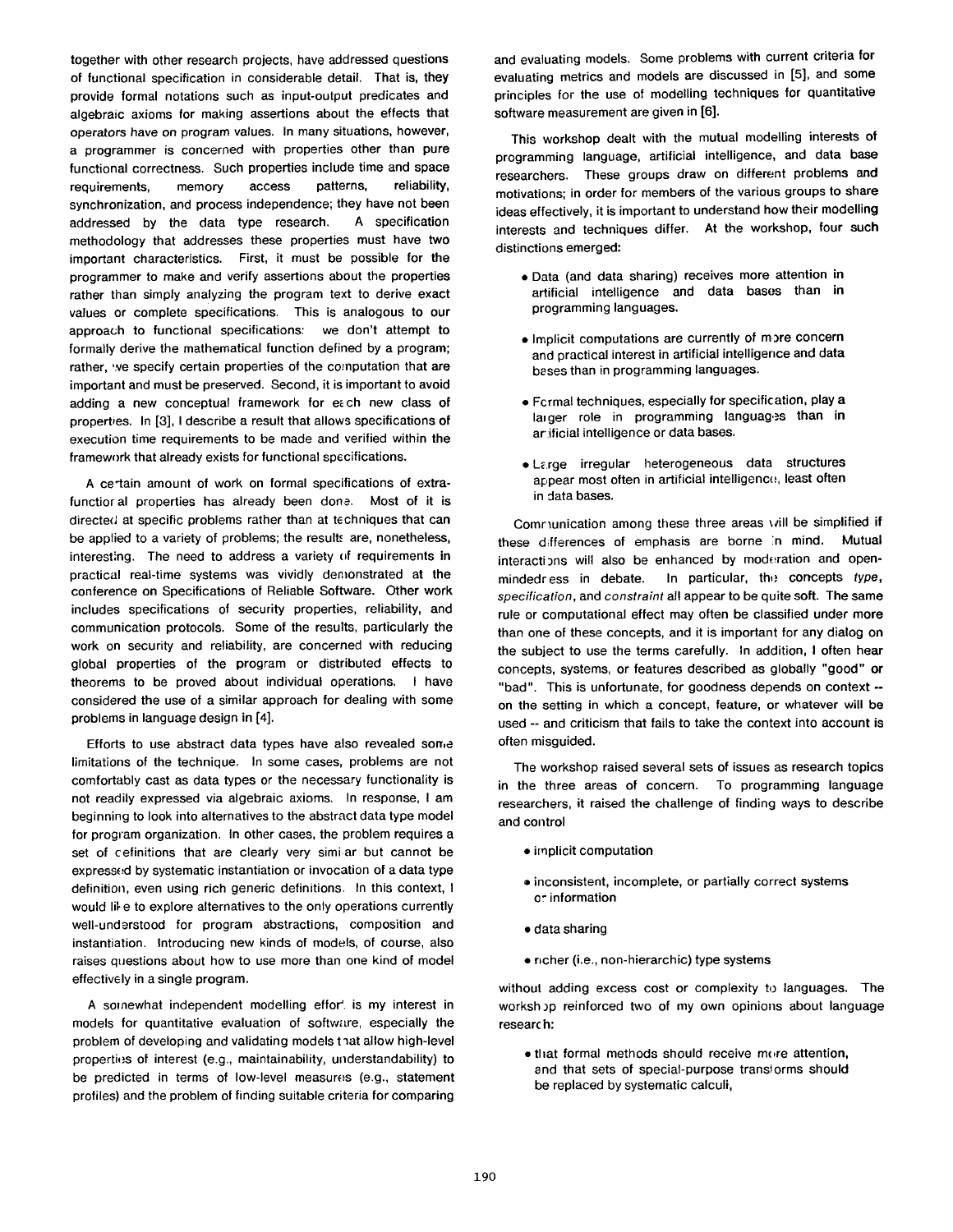together with other research projects, have addressed questions of functional specification in considerable detail. That is, they provide formal notations such as input-output predicates and algebraic axioms for making assertions about the effects that operators have on program values. In many situations, however, a programmer is concerned with properties other than pure functional correctness. Such properties include time and space requirements, memory access patterns, reliability, synchronization, and process independence; they have not been addressed by the data type research. A specification methodology that addresses these properties must have two important characteristics. First, it must be possible for the programmer to make and verify assertions about the properties rather than simply analyzing the program text to derive exact values or complete specifications. This is analogous to our approach to functional specifications: we don't attempt to formally derive the mathematical function defined by a program; rather, we specify certain properties of the computation that are important and must be preserved. Second, it is important to avoid adding a new conceptual framework for eech new class of properties. In [3], I describe a result that allows specifications of execution time requirements to be made and verified within the framework that already exists for functional specifications.

A ce tain amount of work on formal specifications of extrafunctioral properties has already been done. Most of it is directed at specific problems rather than at techniques that can be applied to a variety of problems; the result: are, nonetheless, interesting. The need to address a variety of requirements in practical real-time systems was vividly demonstrated at the conference on Specifications of Reliable Software. Other work includes specifications of security properties, reliability, and communication protocols. Some of the results, particularly the work on security and reliability, are concerned with reducing global properties of the program or distributed effects to theorems to be proved about individual operations. I have considered the use of a similar approach for dealing with some problems in language design in [4].

Efforts to use abstract data types have also revealed some limitations of the technique. In some cases, problems are not comfortably cast as data types or the necessary functionality is not readily expressed via algebraic axioms. In response, I am beginning to look into alternatives to the abstract data type model for program organization. In other cases, the problem requires a set of cefinitions that are clearly very simiar but cannot be expressed by systematic instantiation or invocation of a data type definition, even using rich generic definitions. In this context, I would lil e to explore alternatives to the only operations currently well-understood for program abstractions, composition and instantiation. Introducing new kinds of models, of course, also raises questions about how to use more than one kind of model effectively in a single program.

A somewhat independent modelling effor', is my interest in models for quantitative evaluation of software, especially the problem of developing and validating models that allow high-level properties of interest (e.g., maintainability, understandability) to be predicted in terms of low-level measures (e.g., statement profiles) and the problem of finding suitable criteria for comparing

and evaluating models. Some problems with current criteria for evaluating metrics and models are discussed in [5], and some principles for the use of modelling techniques for quantitative software measurement are given in [6].

This workshop dealt with the mutual modelling interests of programming language, artificial intelligence, and data base researchers. These groups draw on different problems and motivations; in order for members of the various groups to share ideas effectively, it is important to understand how their modelling interests and techniques differ. At the workshop, four such distinctions emerged:

- Data (and data sharing) receives more attention in artificial intelligence and data bases than in programming languages.
- Implicit computations are currently of more concern and practical interest in artificial intelligence and data bases than in programming languages.
- Fcrmal techniques, especially for specification, play a larger role in programming languages than in ar ificial intelligence or data bases.
- Large irregular heterogeneous data structures appear most often in artificial intelligence, least often in data bases.

Comraunication among these three areas will be simplified if these differences of emphasis are borne in mind. Mutual interactions will also be enhanced by moderation and openmindedress in debate. In particular, the concepts *type*, *specification,* and *constraint* all appear to be quite soft. The same rule or computational effect may often be classified under more than one of these concepts, and it is important for any dialog on the subject to use the terms carefully. In addition, I often hear concepts, systems, or features described as globally "good" or "bad". This is unfortunate, for goodness depends on context - on the setting in which a concept, feature, or whatever will be used -- and criticism that fails to take the context into account is often misguided.

The workshop raised several sets of issues as research topics in the three areas of concern. To programming language researchers, it raised the challenge of finding ways to describe and control

- implicit computation
- ® inconsistent, incomplete, or partially correct systems or information
- data sharing
- richer (i.e., non-hierarchic) type systems

without adding excess cost or complexity to languages. The worksh op reinforced two of my own opinions about language researc h:

• that formal methods should receive more attention, and that sets of special-purpose translorms should be replaced by systematic calculi,